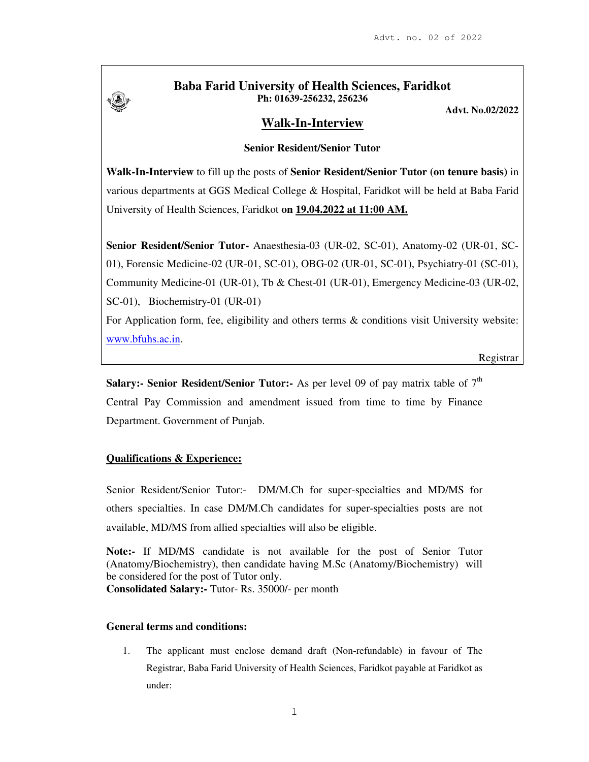

## **Baba Farid University of Health Sciences, Faridkot Ph: 01639-256232, 256236**

**Advt. No.02/2022**

# **Walk-In-Interview**

### **Senior Resident/Senior Tutor**

**Walk-In-Interview** to fill up the posts of **Senior Resident/Senior Tutor (on tenure basis)** in various departments at GGS Medical College & Hospital, Faridkot will be held at Baba Farid University of Health Sciences, Faridkot **on 19.04.2022 at 11:00 AM.**

**Senior Resident/Senior Tutor-** Anaesthesia-03 (UR-02, SC-01), Anatomy-02 (UR-01, SC-01), Forensic Medicine-02 (UR-01, SC-01), OBG-02 (UR-01, SC-01), Psychiatry-01 (SC-01), Community Medicine-01 (UR-01), Tb & Chest-01 (UR-01), Emergency Medicine-03 (UR-02, SC-01), Biochemistry-01 (UR-01)

For Application form, fee, eligibility and others terms & conditions visit University website: www.bfuhs.ac.in.

Registrar

**Salary:- Senior Resident/Senior Tutor:-** As per level 09 of pay matrix table of  $7<sup>th</sup>$ Central Pay Commission and amendment issued from time to time by Finance Department. Government of Punjab.

### **Qualifications & Experience:**

Senior Resident/Senior Tutor:- DM/M.Ch for super-specialties and MD/MS for others specialties. In case DM/M.Ch candidates for super-specialties posts are not available, MD/MS from allied specialties will also be eligible.

**Note:-** If MD/MS candidate is not available for the post of Senior Tutor (Anatomy/Biochemistry), then candidate having M.Sc (Anatomy/Biochemistry) will be considered for the post of Tutor only. **Consolidated Salary:-** Tutor- Rs. 35000/- per month

#### **General terms and conditions:**

1. The applicant must enclose demand draft (Non-refundable) in favour of The Registrar, Baba Farid University of Health Sciences, Faridkot payable at Faridkot as under: